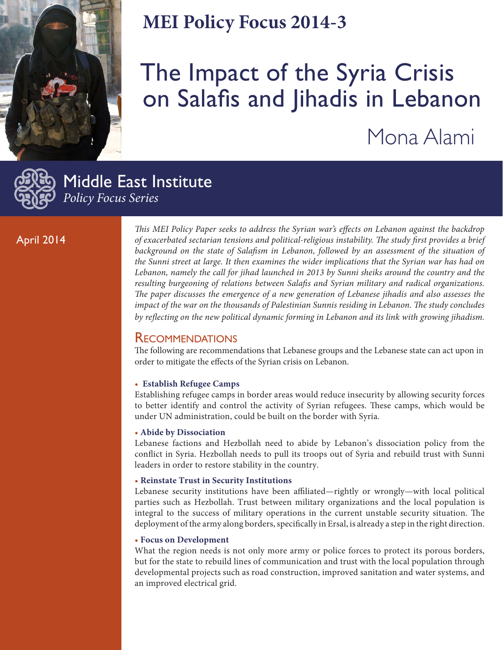

## **MEI Policy Focus 2014-3**

# The Impact of the Syria Crisis on Salafis and Jihadis in Lebanon Mona Alami



Middle East Institute *Policy Focus Series*

#### April 2014

*This MEI Policy Paper seeks to address the Syrian war's effects on Lebanon against the backdrop of exacerbated sectarian tensions and political-religious instability. The study first provides a brief*  background on the state of Salafism in Lebanon, followed by an assessment of the situation of *the Sunni street at large. It then examines the wider implications that the Syrian war has had on Lebanon, namely the call for jihad launched in 2013 by Sunni sheiks around the country and the resulting burgeoning of relations between Salafis and Syrian military and radical organizations. The paper discusses the emergence of a new generation of Lebanese jihadis and also assesses the impact of the war on the thousands of Palestinian Sunnis residing in Lebanon. The study concludes by reflecting on the new political dynamic forming in Lebanon and its link with growing jihadism.* 

#### **RECOMMENDATIONS**

The following are recommendations that Lebanese groups and the Lebanese state can act upon in order to mitigate the effects of the Syrian crisis on Lebanon.

#### • **Establish Refugee Camps**

Establishing refugee camps in border areas would reduce insecurity by allowing security forces to better identify and control the activity of Syrian refugees. These camps, which would be under UN administration, could be built on the border with Syria.

#### • **Abide by Dissociation**

Lebanese factions and Hezbollah need to abide by Lebanon's dissociation policy from the conflict in Syria. Hezbollah needs to pull its troops out of Syria and rebuild trust with Sunni leaders in order to restore stability in the country.

#### • **Reinstate Trust in Security Institutions**

Lebanese security institutions have been affiliated—rightly or wrongly—with local political parties such as Hezbollah. Trust between military organizations and the local population is integral to the success of military operations in the current unstable security situation. The deployment of the army along borders, specifically in Ersal, is already a step in the right direction.

#### • **Focus on Development**

What the region needs is not only more army or police forces to protect its porous borders, but for the state to rebuild lines of communication and trust with the local population through developmental projects such as road construction, improved sanitation and water systems, and an improved electrical grid.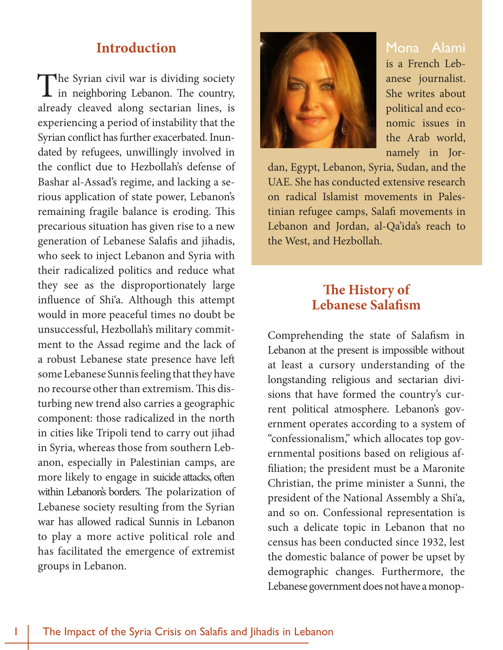## **Introduction**

The Syrian civil war is dividing society<br>in neighboring Lebanon. The country, already cleaved along sectarian lines, is experiencing a period of instability that the Syrian conflict has further exacerbated. Inundated by refugees, unwillingly involved in the conflict due to Hezbollah's defense of Bashar al-Assad's regime, and lacking a serious application of state power, Lebanon's remaining fragile balance is eroding. This precarious situation has given rise to a new generation of Lebanese Salafis and jihadis, who seek to inject Lebanon and Syria with their radicalized politics and reduce what they see as the disproportionately large influence of Shi'a. Although this attempt would in more peaceful times no doubt be unsuccessful, Hezbollah's military commitment to the Assad regime and the lack of a robust Lebanese state presence have left some Lebanese Sunnis feeling that they have no recourse other than extremism. This disturbing new trend also carries a geographic component: those radicalized in the north in cities like Tripoli tend to carry out jihad in Syria, whereas those from southern Lebanon, especially in Palestinian camps, are more likely to engage in suicide attacks, often within Lebanon's borders. The polarization of Lebanese society resulting from the Syrian war has allowed radical Sunnis in Lebanon to play a more active political role and has facilitated the emergence of extremist groups in Lebanon.



Mona Alami is a French Lebanese journalist. She writes about political and economic issues in the Arab world, namely in Jor-

dan, Egypt, Lebanon, Syria, Sudan, and the UAE. She has conducted extensive research on radical Islamist movements in Palestinian refugee camps, Salafi movements in Lebanon and Jordan, al-Qa'ida's reach to the West, and Hezbollah.

## **The History of Lebanese Salafism**

Comprehending the state of Salafism in Lebanon at the present is impossible without at least a cursory understanding of the longstanding religious and sectarian divisions that have formed the country's current political atmosphere. Lebanon's government operates according to a system of "confessionalism," which allocates top governmental positions based on religious affiliation; the president must be a Maronite Christian, the prime minister a Sunni, the president of the National Assembly a Shi'a, and so on. Confessional representation is such a delicate topic in Lebanon that no census has been conducted since 1932, lest the domestic balance of power be upset by demographic changes. Furthermore, the Lebanese government does not have a monop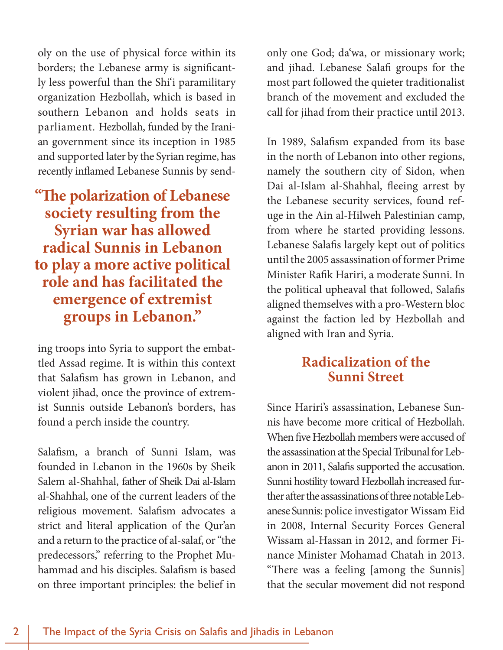oly on the use of physical force within its borders; the Lebanese army is significantly less powerful than the Shi'i paramilitary organization Hezbollah, which is based in southern Lebanon and holds seats in parliament. Hezbollah, funded by the Iranian government since its inception in 1985 and supported later by the Syrian regime, has recently inflamed Lebanese Sunnis by send-

**"The polarization of Lebanese society resulting from the Syrian war has allowed radical Sunnis in Lebanon to play a more active political role and has facilitated the emergence of extremist groups in Lebanon."**

ing troops into Syria to support the embattled Assad regime. It is within this context that Salafism has grown in Lebanon, and violent jihad, once the province of extremist Sunnis outside Lebanon's borders, has found a perch inside the country.

Salafism, a branch of Sunni Islam, was founded in Lebanon in the 1960s by Sheik Salem al-Shahhal, father of Sheik Dai al-Islam al-Shahhal, one of the current leaders of the religious movement. Salafism advocates a strict and literal application of the Qur'an and a return to the practice of al-salaf, or "the predecessors," referring to the Prophet Muhammad and his disciples. Salafism is based on three important principles: the belief in only one God; da'wa, or missionary work; and jihad. Lebanese Salafi groups for the most part followed the quieter traditionalist branch of the movement and excluded the call for jihad from their practice until 2013.

In 1989, Salafism expanded from its base in the north of Lebanon into other regions, namely the southern city of Sidon, when Dai al-Islam al-Shahhal, fleeing arrest by the Lebanese security services, found refuge in the Ain al-Hilweh Palestinian camp, from where he started providing lessons. Lebanese Salafis largely kept out of politics until the 2005 assassination of former Prime Minister Rafik Hariri, a moderate Sunni. In the political upheaval that followed, Salafis aligned themselves with a pro-Western bloc against the faction led by Hezbollah and aligned with Iran and Syria.

## **Radicalization of the Sunni Street**

Since Hariri's assassination, Lebanese Sunnis have become more critical of Hezbollah. When five Hezbollah members were accused of the assassination at the Special Tribunal for Lebanon in 2011, Salafis supported the accusation. Sunni hostility toward Hezbollah increased further after the assassinations of three notable Lebanese Sunnis: police investigator Wissam Eid in 2008, Internal Security Forces General Wissam al-Hassan in 2012, and former Finance Minister Mohamad Chatah in 2013. "There was a feeling [among the Sunnis] that the secular movement did not respond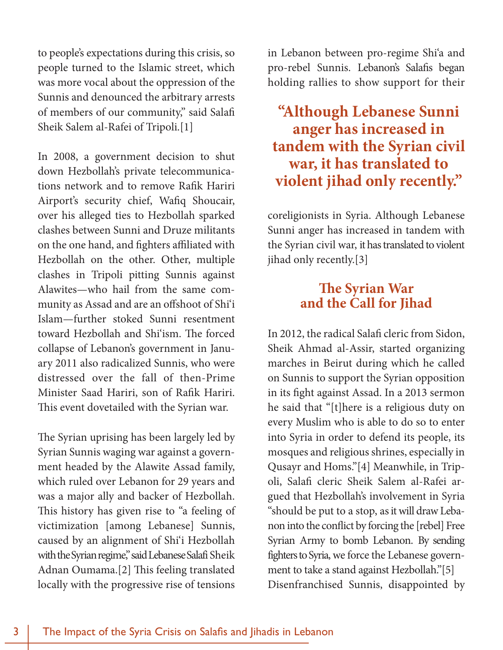to people's expectations during this crisis, so people turned to the Islamic street, which was more vocal about the oppression of the Sunnis and denounced the arbitrary arrests of members of our community," said Salafi Sheik Salem al-Rafei of Tripoli.[1]

In 2008, a government decision to shut down Hezbollah's private telecommunications network and to remove Rafik Hariri Airport's security chief, Wafiq Shoucair, over his alleged ties to Hezbollah sparked clashes between Sunni and Druze militants on the one hand, and fighters affiliated with Hezbollah on the other. Other, multiple clashes in Tripoli pitting Sunnis against Alawites—who hail from the same community as Assad and are an offshoot of Shi'i Islam—further stoked Sunni resentment toward Hezbollah and Shi'ism. The forced collapse of Lebanon's government in January 2011 also radicalized Sunnis, who were distressed over the fall of then-Prime Minister Saad Hariri, son of Rafik Hariri. This event dovetailed with the Syrian war.

The Syrian uprising has been largely led by Syrian Sunnis waging war against a government headed by the Alawite Assad family, which ruled over Lebanon for 29 years and was a major ally and backer of Hezbollah. This history has given rise to "a feeling of victimization [among Lebanese] Sunnis, caused by an alignment of Shi'i Hezbollah with the Syrian regime," said Lebanese Salafi Sheik Adnan Oumama.[2] This feeling translated locally with the progressive rise of tensions

in Lebanon between pro-regime Shi'a and pro-rebel Sunnis. Lebanon's Salafis began holding rallies to show support for their

**"Although Lebanese Sunni anger has increased in tandem with the Syrian civil war, it has translated to violent jihad only recently."**

coreligionists in Syria. Although Lebanese Sunni anger has increased in tandem with the Syrian civil war, it has translated to violent jihad only recently.[3]

## **The Syrian War and the Call for Jihad**

In 2012, the radical Salafi cleric from Sidon, Sheik Ahmad al-Assir, started organizing marches in Beirut during which he called on Sunnis to support the Syrian opposition in its fight against Assad. In a 2013 sermon he said that "[t]here is a religious duty on every Muslim who is able to do so to enter into Syria in order to defend its people, its mosques and religious shrines, especially in Qusayr and Homs."[4] Meanwhile, in Tripoli, Salafi cleric Sheik Salem al-Rafei argued that Hezbollah's involvement in Syria "should be put to a stop, as it will draw Lebanon into the conflict by forcing the [rebel] Free Syrian Army to bomb Lebanon. By sending fighters to Syria, we force the Lebanese government to take a stand against Hezbollah."[5] Disenfranchised Sunnis, disappointed by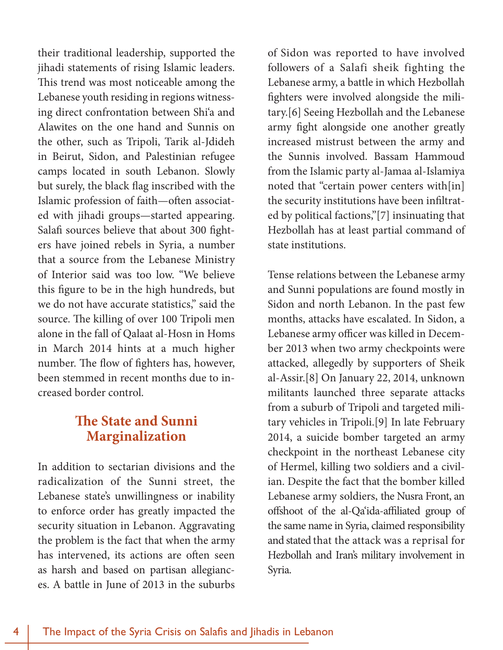their traditional leadership, supported the jihadi statements of rising Islamic leaders. This trend was most noticeable among the Lebanese youth residing in regions witnessing direct confrontation between Shi'a and Alawites on the one hand and Sunnis on the other, such as Tripoli, Tarik al-Jdideh in Beirut, Sidon, and Palestinian refugee camps located in south Lebanon. Slowly but surely, the black flag inscribed with the Islamic profession of faith—often associated with jihadi groups—started appearing. Salafi sources believe that about 300 fighters have joined rebels in Syria, a number that a source from the Lebanese Ministry of Interior said was too low. "We believe this figure to be in the high hundreds, but we do not have accurate statistics," said the source. The killing of over 100 Tripoli men alone in the fall of Qalaat al-Hosn in Homs in March 2014 hints at a much higher number. The flow of fighters has, however, been stemmed in recent months due to increased border control.

## **The State and Sunni Marginalization**

In addition to sectarian divisions and the radicalization of the Sunni street, the Lebanese state's unwillingness or inability to enforce order has greatly impacted the security situation in Lebanon. Aggravating the problem is the fact that when the army has intervened, its actions are often seen as harsh and based on partisan allegiances. A battle in June of 2013 in the suburbs

of Sidon was reported to have involved followers of a Salafi sheik fighting the Lebanese army, a battle in which Hezbollah fighters were involved alongside the military.[6] Seeing Hezbollah and the Lebanese army fight alongside one another greatly increased mistrust between the army and the Sunnis involved. Bassam Hammoud from the Islamic party al-Jamaa al-Islamiya noted that "certain power centers with[in] the security institutions have been infiltrated by political factions,"[7] insinuating that Hezbollah has at least partial command of state institutions.

Tense relations between the Lebanese army and Sunni populations are found mostly in Sidon and north Lebanon. In the past few months, attacks have escalated. In Sidon, a Lebanese army officer was killed in December 2013 when two army checkpoints were attacked, allegedly by supporters of Sheik al-Assir.[8] On January 22, 2014, unknown militants launched three separate attacks from a suburb of Tripoli and targeted military vehicles in Tripoli.[9] In late February 2014, a suicide bomber targeted an army checkpoint in the northeast Lebanese city of Hermel, killing two soldiers and a civilian. Despite the fact that the bomber killed Lebanese army soldiers, the Nusra Front, an offshoot of the al-Qa'ida-affiliated group of the same name in Syria, claimed responsibility and stated that the attack was a reprisal for Hezbollah and Iran's military involvement in Syria.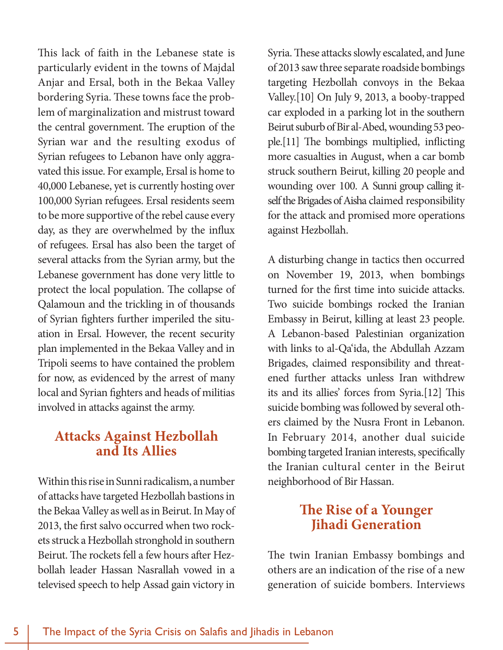This lack of faith in the Lebanese state is particularly evident in the towns of Majdal Anjar and Ersal, both in the Bekaa Valley bordering Syria. These towns face the problem of marginalization and mistrust toward the central government. The eruption of the Syrian war and the resulting exodus of Syrian refugees to Lebanon have only aggravated this issue. For example, Ersal is home to 40,000 Lebanese, yet is currently hosting over 100,000 Syrian refugees. Ersal residents seem to be more supportive of the rebel cause every day, as they are overwhelmed by the influx of refugees. Ersal has also been the target of several attacks from the Syrian army, but the Lebanese government has done very little to protect the local population. The collapse of Qalamoun and the trickling in of thousands of Syrian fighters further imperiled the situation in Ersal. However, the recent security plan implemented in the Bekaa Valley and in Tripoli seems to have contained the problem for now, as evidenced by the arrest of many local and Syrian fighters and heads of militias involved in attacks against the army.

#### **Attacks Against Hezbollah and Its Allies**

Within this rise in Sunni radicalism, a number of attacks have targeted Hezbollah bastions in the Bekaa Valley as well as in Beirut. In May of 2013, the first salvo occurred when two rockets struck a Hezbollah stronghold in southern Beirut. The rockets fell a few hours after Hezbollah leader Hassan Nasrallah vowed in a televised speech to help Assad gain victory in

Syria. These attacks slowly escalated, and June of 2013 saw three separate roadside bombings targeting Hezbollah convoys in the Bekaa Valley.[10] On July 9, 2013, a booby-trapped car exploded in a parking lot in the southern Beirut suburb of Bir al-Abed, wounding 53 people.[11] The bombings multiplied, inflicting more casualties in August, when a car bomb struck southern Beirut, killing 20 people and wounding over 100. A Sunni group calling itself the Brigades of Aisha claimed responsibility for the attack and promised more operations against Hezbollah.

A disturbing change in tactics then occurred on November 19, 2013, when bombings turned for the first time into suicide attacks. Two suicide bombings rocked the Iranian Embassy in Beirut, killing at least 23 people. A Lebanon-based Palestinian organization with links to al-Qa'ida, the Abdullah Azzam Brigades, claimed responsibility and threatened further attacks unless Iran withdrew its and its allies' forces from Syria.[12] This suicide bombing was followed by several others claimed by the Nusra Front in Lebanon. In February 2014, another dual suicide bombing targeted Iranian interests, specifically the Iranian cultural center in the Beirut neighborhood of Bir Hassan.

## **The Rise of a Younger Jihadi Generation**

The twin Iranian Embassy bombings and others are an indication of the rise of a new generation of suicide bombers. Interviews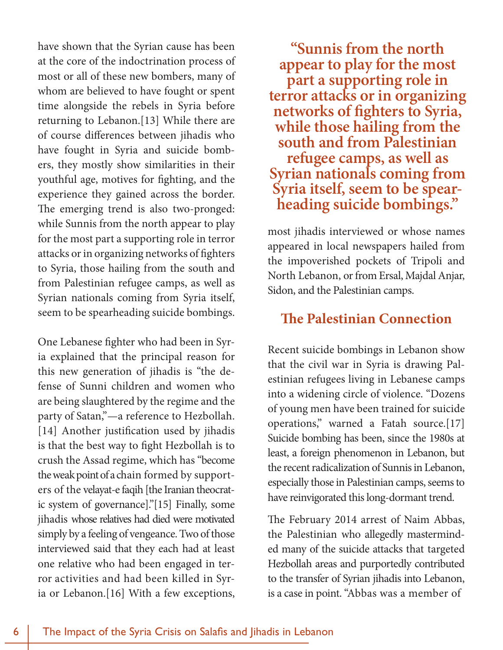have shown that the Syrian cause has been at the core of the indoctrination process of most or all of these new bombers, many of whom are believed to have fought or spent time alongside the rebels in Syria before returning to Lebanon.[13] While there are of course differences between jihadis who have fought in Syria and suicide bombers, they mostly show similarities in their youthful age, motives for fighting, and the experience they gained across the border. The emerging trend is also two-pronged: while Sunnis from the north appear to play for the most part a supporting role in terror attacks or in organizing networks of fighters to Syria, those hailing from the south and from Palestinian refugee camps, as well as Syrian nationals coming from Syria itself, seem to be spearheading suicide bombings.

One Lebanese fighter who had been in Syria explained that the principal reason for this new generation of jihadis is "the defense of Sunni children and women who are being slaughtered by the regime and the party of Satan,"—a reference to Hezbollah. [14] Another justification used by jihadis is that the best way to fight Hezbollah is to crush the Assad regime, which has "become the weak point of a chain formed by supporters of the velayat-e faqih [the Iranian theocratic system of governance]."[15] Finally, some jihadis whose relatives had died were motivated simply by a feeling of vengeance. Two of those interviewed said that they each had at least one relative who had been engaged in terror activities and had been killed in Syria or Lebanon.[16] With a few exceptions,

**"Sunnis from the north appear to play for the most part a supporting role in terror attacks or in organizing networks of fighters to Syria, while those hailing from the south and from Palestinian refugee camps, as well as Syrian nationals coming from Syria itself, seem to be spear- heading suicide bombings."** 

most jihadis interviewed or whose names appeared in local newspapers hailed from the impoverished pockets of Tripoli and North Lebanon, or from Ersal, Majdal Anjar, Sidon, and the Palestinian camps.

## **The Palestinian Connection**

Recent suicide bombings in Lebanon show that the civil war in Syria is drawing Palestinian refugees living in Lebanese camps into a widening circle of violence. "Dozens of young men have been trained for suicide operations," warned a Fatah source.[17] Suicide bombing has been, since the 1980s at least, a foreign phenomenon in Lebanon, but the recent radicalization of Sunnis in Lebanon, especially those in Palestinian camps, seems to have reinvigorated this long-dormant trend.

The February 2014 arrest of Naim Abbas, the Palestinian who allegedly masterminded many of the suicide attacks that targeted Hezbollah areas and purportedly contributed to the transfer of Syrian jihadis into Lebanon, is a case in point. "Abbas was a member of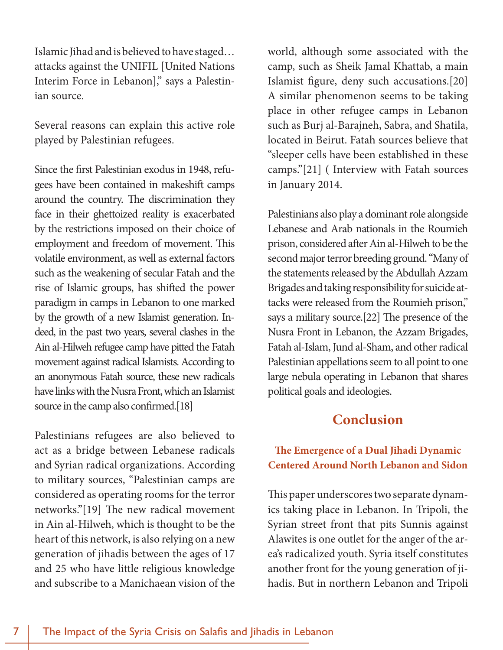Islamic Jihad and is believed to have staged… attacks against the UNIFIL [United Nations Interim Force in Lebanon]," says a Palestinian source.

Several reasons can explain this active role played by Palestinian refugees.

Since the first Palestinian exodus in 1948, refugees have been contained in makeshift camps around the country. The discrimination they face in their ghettoized reality is exacerbated by the restrictions imposed on their choice of employment and freedom of movement. This volatile environment, as well as external factors such as the weakening of secular Fatah and the rise of Islamic groups, has shifted the power paradigm in camps in Lebanon to one marked by the growth of a new Islamist generation. Indeed, in the past two years, several clashes in the Ain al-Hilweh refugee camp have pitted the Fatah movement against radical Islamists. According to an anonymous Fatah source, these new radicals have links with the Nusra Front, which an Islamist source in the camp also confirmed.[18]

Palestinians refugees are also believed to act as a bridge between Lebanese radicals and Syrian radical organizations. According to military sources, "Palestinian camps are considered as operating rooms for the terror networks."[19] The new radical movement in Ain al-Hilweh, which is thought to be the heart of this network, is also relying on a new generation of jihadis between the ages of 17 and 25 who have little religious knowledge and subscribe to a Manichaean vision of the

world, although some associated with the camp, such as Sheik Jamal Khattab, a main Islamist figure, deny such accusations.[20] A similar phenomenon seems to be taking place in other refugee camps in Lebanon such as Burj al-Barajneh, Sabra, and Shatila, located in Beirut. Fatah sources believe that "sleeper cells have been established in these camps."[21] ( Interview with Fatah sources in January 2014.

Palestinians also play a dominant role alongside Lebanese and Arab nationals in the Roumieh prison, considered after Ain al-Hilweh to be the second major terror breeding ground. "Many of the statements released by the Abdullah Azzam Brigades and taking responsibility for suicide attacks were released from the Roumieh prison," says a military source.[22] The presence of the Nusra Front in Lebanon, the Azzam Brigades, Fatah al-Islam, Jund al-Sham, and other radical Palestinian appellations seem to all point to one large nebula operating in Lebanon that shares political goals and ideologies.

## **Conclusion**

#### **The Emergence of a Dual Jihadi Dynamic Centered Around North Lebanon and Sidon**

This paper underscores two separate dynamics taking place in Lebanon. In Tripoli, the Syrian street front that pits Sunnis against Alawites is one outlet for the anger of the area's radicalized youth. Syria itself constitutes another front for the young generation of jihadis. But in northern Lebanon and Tripoli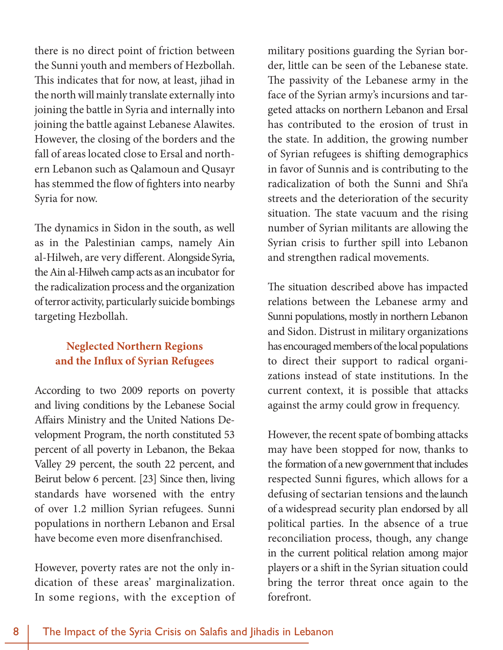there is no direct point of friction between the Sunni youth and members of Hezbollah. This indicates that for now, at least, jihad in the north will mainly translate externally into joining the battle in Syria and internally into joining the battle against Lebanese Alawites. However, the closing of the borders and the fall of areas located close to Ersal and northern Lebanon such as Qalamoun and Qusayr has stemmed the flow of fighters into nearby Syria for now.

The dynamics in Sidon in the south, as well as in the Palestinian camps, namely Ain al-Hilweh, are very different. Alongside Syria, the Ain al-Hilweh camp acts as an incubator for the radicalization process and the organization of terror activity, particularly suicide bombings targeting Hezbollah.

#### **Neglected Northern Regions and the Influx of Syrian Refugees**

According to two 2009 reports on poverty and living conditions by the Lebanese Social Affairs Ministry and the United Nations Development Program, the north constituted 53 percent of all poverty in Lebanon, the Bekaa Valley 29 percent, the south 22 percent, and Beirut below 6 percent. [23] Since then, living standards have worsened with the entry of over 1.2 million Syrian refugees. Sunni populations in northern Lebanon and Ersal have become even more disenfranchised.

However, poverty rates are not the only indication of these areas' marginalization. In some regions, with the exception of military positions guarding the Syrian border, little can be seen of the Lebanese state. The passivity of the Lebanese army in the face of the Syrian army's incursions and targeted attacks on northern Lebanon and Ersal has contributed to the erosion of trust in the state. In addition, the growing number of Syrian refugees is shifting demographics in favor of Sunnis and is contributing to the radicalization of both the Sunni and Shi'a streets and the deterioration of the security situation. The state vacuum and the rising number of Syrian militants are allowing the Syrian crisis to further spill into Lebanon and strengthen radical movements.

The situation described above has impacted relations between the Lebanese army and Sunni populations, mostly in northern Lebanon and Sidon. Distrust in military organizations has encouraged members of the local populations to direct their support to radical organizations instead of state institutions. In the current context, it is possible that attacks against the army could grow in frequency.

However, the recent spate of bombing attacks may have been stopped for now, thanks to the formation of a new government that includes respected Sunni figures, which allows for a defusing of sectarian tensions and the launch of a widespread security plan endorsed by all political parties. In the absence of a true reconciliation process, though, any change in the current political relation among major players or a shift in the Syrian situation could bring the terror threat once again to the forefront.